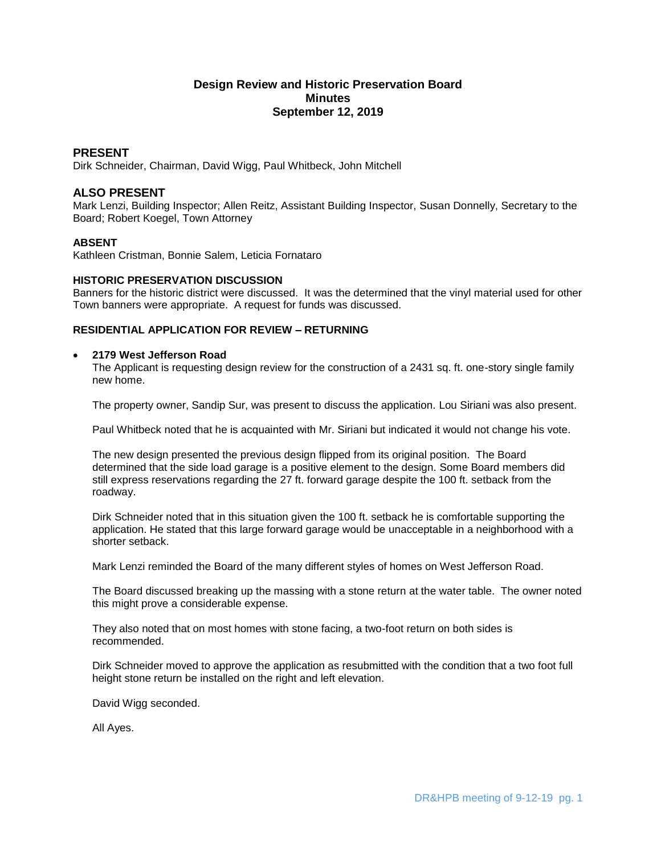# **Design Review and Historic Preservation Board Minutes September 12, 2019**

## **PRESENT**

Dirk Schneider, Chairman, David Wigg, Paul Whitbeck, John Mitchell

# **ALSO PRESENT**

Mark Lenzi, Building Inspector; Allen Reitz, Assistant Building Inspector, Susan Donnelly, Secretary to the Board; Robert Koegel, Town Attorney

## **ABSENT**

Kathleen Cristman, Bonnie Salem, Leticia Fornataro

## **HISTORIC PRESERVATION DISCUSSION**

Banners for the historic district were discussed. It was the determined that the vinyl material used for other Town banners were appropriate. A request for funds was discussed.

## **RESIDENTIAL APPLICATION FOR REVIEW – RETURNING**

#### **2179 West Jefferson Road**

The Applicant is requesting design review for the construction of a 2431 sq. ft. one-story single family new home.

The property owner, Sandip Sur, was present to discuss the application. Lou Siriani was also present.

Paul Whitbeck noted that he is acquainted with Mr. Siriani but indicated it would not change his vote.

The new design presented the previous design flipped from its original position. The Board determined that the side load garage is a positive element to the design. Some Board members did still express reservations regarding the 27 ft. forward garage despite the 100 ft. setback from the roadway.

Dirk Schneider noted that in this situation given the 100 ft. setback he is comfortable supporting the application. He stated that this large forward garage would be unacceptable in a neighborhood with a shorter setback.

Mark Lenzi reminded the Board of the many different styles of homes on West Jefferson Road.

The Board discussed breaking up the massing with a stone return at the water table. The owner noted this might prove a considerable expense.

They also noted that on most homes with stone facing, a two-foot return on both sides is recommended.

Dirk Schneider moved to approve the application as resubmitted with the condition that a two foot full height stone return be installed on the right and left elevation.

David Wigg seconded.

All Ayes.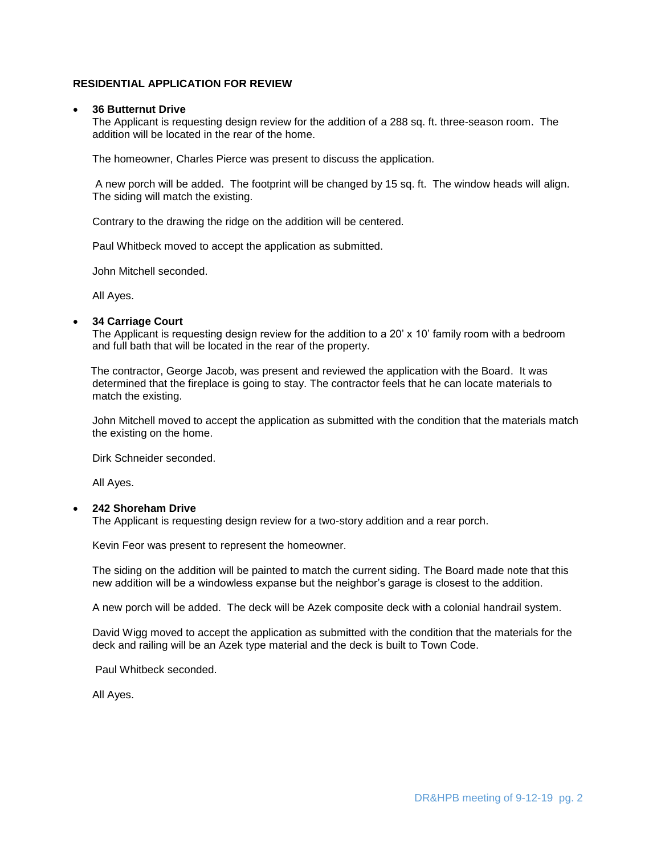## **RESIDENTIAL APPLICATION FOR REVIEW**

#### **36 Butternut Drive**

The Applicant is requesting design review for the addition of a 288 sq. ft. three-season room. The addition will be located in the rear of the home.

The homeowner, Charles Pierce was present to discuss the application.

A new porch will be added. The footprint will be changed by 15 sq. ft. The window heads will align. The siding will match the existing.

Contrary to the drawing the ridge on the addition will be centered.

Paul Whitbeck moved to accept the application as submitted.

John Mitchell seconded.

All Ayes.

## **34 Carriage Court**

The Applicant is requesting design review for the addition to a 20' x 10' family room with a bedroom and full bath that will be located in the rear of the property.

The contractor, George Jacob, was present and reviewed the application with the Board. It was determined that the fireplace is going to stay. The contractor feels that he can locate materials to match the existing.

John Mitchell moved to accept the application as submitted with the condition that the materials match the existing on the home.

Dirk Schneider seconded.

All Ayes.

## **242 Shoreham Drive**

The Applicant is requesting design review for a two-story addition and a rear porch.

Kevin Feor was present to represent the homeowner.

The siding on the addition will be painted to match the current siding. The Board made note that this new addition will be a windowless expanse but the neighbor's garage is closest to the addition.

A new porch will be added. The deck will be Azek composite deck with a colonial handrail system.

David Wigg moved to accept the application as submitted with the condition that the materials for the deck and railing will be an Azek type material and the deck is built to Town Code.

Paul Whitbeck seconded.

All Ayes.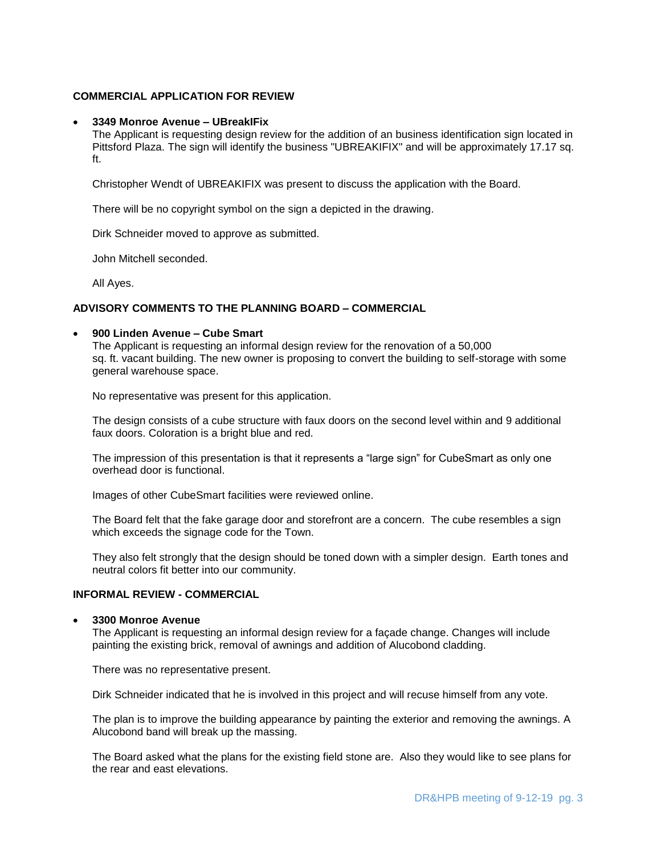## **COMMERCIAL APPLICATION FOR REVIEW**

## **3349 Monroe Avenue – UBreakIFix**

The Applicant is requesting design review for the addition of an business identification sign located in Pittsford Plaza. The sign will identify the business "UBREAKIFIX" and will be approximately 17.17 sq. ft.

Christopher Wendt of UBREAKIFIX was present to discuss the application with the Board.

There will be no copyright symbol on the sign a depicted in the drawing.

Dirk Schneider moved to approve as submitted.

John Mitchell seconded.

All Ayes.

## **ADVISORY COMMENTS TO THE PLANNING BOARD – COMMERCIAL**

#### **900 Linden Avenue – Cube Smart**

The Applicant is requesting an informal design review for the renovation of a 50,000 sq. ft. vacant building. The new owner is proposing to convert the building to self-storage with some general warehouse space.

No representative was present for this application.

The design consists of a cube structure with faux doors on the second level within and 9 additional faux doors. Coloration is a bright blue and red.

The impression of this presentation is that it represents a "large sign" for CubeSmart as only one overhead door is functional.

Images of other CubeSmart facilities were reviewed online.

The Board felt that the fake garage door and storefront are a concern. The cube resembles a sign which exceeds the signage code for the Town.

They also felt strongly that the design should be toned down with a simpler design. Earth tones and neutral colors fit better into our community.

# **INFORMAL REVIEW - COMMERCIAL**

#### **3300 Monroe Avenue**

The Applicant is requesting an informal design review for a façade change. Changes will include painting the existing brick, removal of awnings and addition of Alucobond cladding.

There was no representative present.

Dirk Schneider indicated that he is involved in this project and will recuse himself from any vote.

The plan is to improve the building appearance by painting the exterior and removing the awnings. A Alucobond band will break up the massing.

The Board asked what the plans for the existing field stone are. Also they would like to see plans for the rear and east elevations.